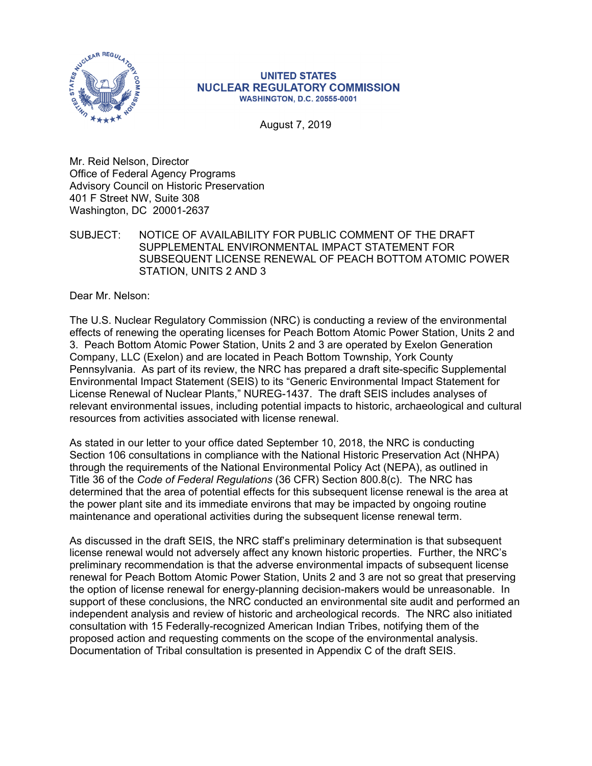

## **UNITED STATES NUCLEAR REGULATORY COMMISSION WASHINGTON, D.C. 20555-0001**

August 7, 2019

Mr. Reid Nelson, Director Office of Federal Agency Programs Advisory Council on Historic Preservation 401 F Street NW, Suite 308 Washington, DC 20001-2637

SUBJECT: NOTICE OF AVAILABILITY FOR PUBLIC COMMENT OF THE DRAFT SUPPLEMENTAL ENVIRONMENTAL IMPACT STATEMENT FOR SUBSEQUENT LICENSE RENEWAL OF PEACH BOTTOM ATOMIC POWER STATION, UNITS 2 AND 3

Dear Mr. Nelson:

The U.S. Nuclear Regulatory Commission (NRC) is conducting a review of the environmental effects of renewing the operating licenses for Peach Bottom Atomic Power Station, Units 2 and 3. Peach Bottom Atomic Power Station, Units 2 and 3 are operated by Exelon Generation Company, LLC (Exelon) and are located in Peach Bottom Township, York County Pennsylvania. As part of its review, the NRC has prepared a draft site-specific Supplemental Environmental Impact Statement (SEIS) to its "Generic Environmental Impact Statement for License Renewal of Nuclear Plants," NUREG-1437. The draft SEIS includes analyses of relevant environmental issues, including potential impacts to historic, archaeological and cultural resources from activities associated with license renewal.

As stated in our letter to your office dated September 10, 2018, the NRC is conducting Section 106 consultations in compliance with the National Historic Preservation Act (NHPA) through the requirements of the National Environmental Policy Act (NEPA), as outlined in Title 36 of the *Code of Federal Regulations* (36 CFR) Section 800.8(c). The NRC has determined that the area of potential effects for this subsequent license renewal is the area at the power plant site and its immediate environs that may be impacted by ongoing routine maintenance and operational activities during the subsequent license renewal term.

As discussed in the draft SEIS, the NRC staff's preliminary determination is that subsequent license renewal would not adversely affect any known historic properties. Further, the NRC's preliminary recommendation is that the adverse environmental impacts of subsequent license renewal for Peach Bottom Atomic Power Station, Units 2 and 3 are not so great that preserving the option of license renewal for energy-planning decision-makers would be unreasonable. In support of these conclusions, the NRC conducted an environmental site audit and performed an independent analysis and review of historic and archeological records. The NRC also initiated consultation with 15 Federally-recognized American Indian Tribes, notifying them of the proposed action and requesting comments on the scope of the environmental analysis. Documentation of Tribal consultation is presented in Appendix C of the draft SEIS.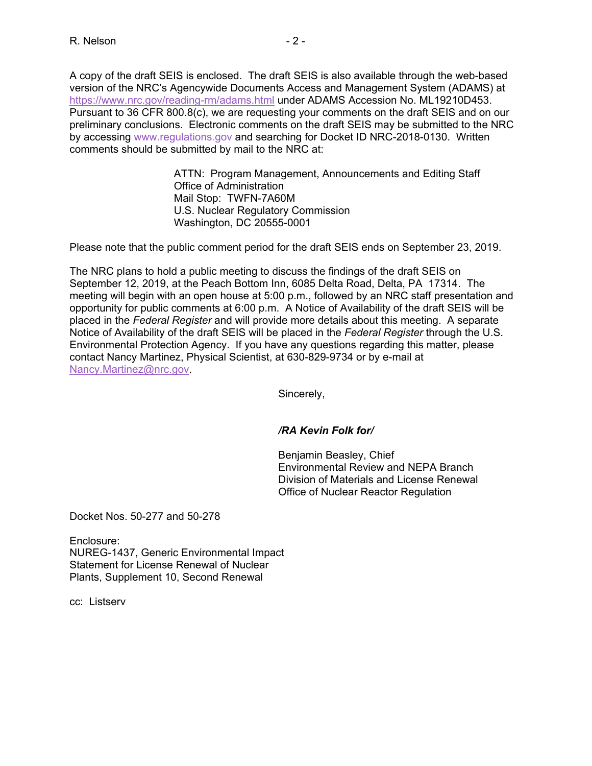A copy of the draft SEIS is enclosed. The draft SEIS is also available through the web-based version of the NRC's Agencywide Documents Access and Management System (ADAMS) at https://www.nrc.gov/reading-rm/adams.html under ADAMS Accession No. ML19210D453. Pursuant to 36 CFR 800.8(c), we are requesting your comments on the draft SEIS and on our preliminary conclusions. Electronic comments on the draft SEIS may be submitted to the NRC by accessing www.regulations.gov and searching for Docket ID NRC-2018-0130. Written comments should be submitted by mail to the NRC at:

> ATTN: Program Management, Announcements and Editing Staff Office of Administration Mail Stop: TWFN-7A60M U.S. Nuclear Regulatory Commission Washington, DC 20555-0001

Please note that the public comment period for the draft SEIS ends on September 23, 2019.

The NRC plans to hold a public meeting to discuss the findings of the draft SEIS on September 12, 2019, at the Peach Bottom Inn, 6085 Delta Road, Delta, PA 17314. The meeting will begin with an open house at 5:00 p.m., followed by an NRC staff presentation and opportunity for public comments at 6:00 p.m. A Notice of Availability of the draft SEIS will be placed in the *Federal Register* and will provide more details about this meeting. A separate Notice of Availability of the draft SEIS will be placed in the *Federal Register* through the U.S. Environmental Protection Agency. If you have any questions regarding this matter, please contact Nancy Martinez, Physical Scientist, at 630-829-9734 or by e-mail at Nancy.Martinez@nrc.gov.

Sincerely,

## */RA Kevin Folk for/*

 Benjamin Beasley, Chief Environmental Review and NEPA Branch Division of Materials and License Renewal Office of Nuclear Reactor Regulation

Docket Nos. 50-277 and 50-278

Enclosure: NUREG-1437, Generic Environmental Impact Statement for License Renewal of Nuclear Plants, Supplement 10, Second Renewal

cc: Listserv